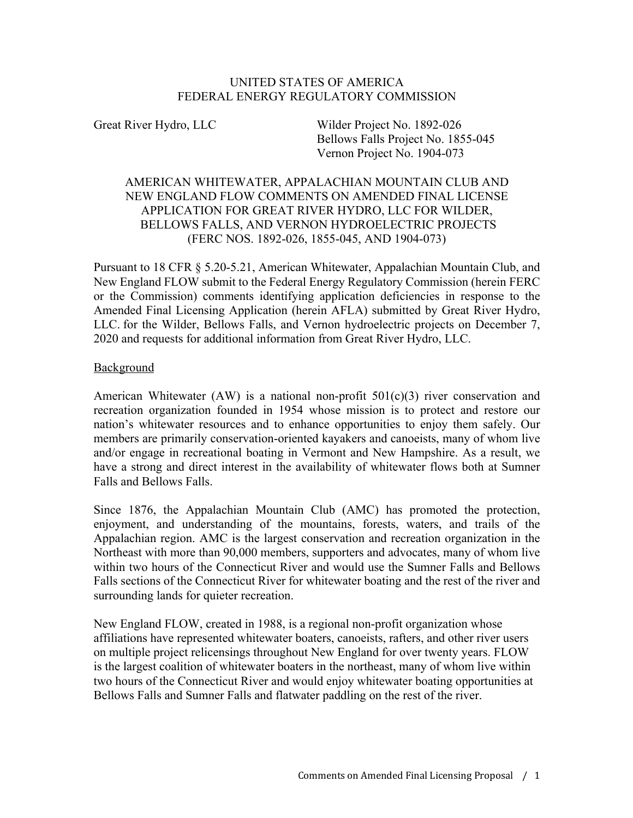### UNITED STATES OF AMERICA FEDERAL ENERGY REGULATORY COMMISSION

Great River Hydro, LLC Wilder Project No. 1892-026 Bellows Falls Project No. 1855-045 Vernon Project No. 1904-073

## AMERICAN WHITEWATER, APPALACHIAN MOUNTAIN CLUB AND NEW ENGLAND FLOW COMMENTS ON AMENDED FINAL LICENSE APPLICATION FOR GREAT RIVER HYDRO, LLC FOR WILDER, BELLOWS FALLS, AND VERNON HYDROELECTRIC PROJECTS (FERC NOS. 1892-026, 1855-045, AND 1904-073)

Pursuant to 18 CFR § 5.20-5.21, American Whitewater, Appalachian Mountain Club, and New England FLOW submit to the Federal Energy Regulatory Commission (herein FERC or the Commission) comments identifying application deficiencies in response to the Amended Final Licensing Application (herein AFLA) submitted by Great River Hydro, LLC. for the Wilder, Bellows Falls, and Vernon hydroelectric projects on December 7, 2020 and requests for additional information from Great River Hydro, LLC.

### Background

American Whitewater (AW) is a national non-profit  $501(c)(3)$  river conservation and recreation organization founded in 1954 whose mission is to protect and restore our nation's whitewater resources and to enhance opportunities to enjoy them safely. Our members are primarily conservation-oriented kayakers and canoeists, many of whom live and/or engage in recreational boating in Vermont and New Hampshire. As a result, we have a strong and direct interest in the availability of whitewater flows both at Sumner Falls and Bellows Falls.

Since 1876, the Appalachian Mountain Club (AMC) has promoted the protection, enjoyment, and understanding of the mountains, forests, waters, and trails of the Appalachian region. AMC is the largest conservation and recreation organization in the Northeast with more than 90,000 members, supporters and advocates, many of whom live within two hours of the Connecticut River and would use the Sumner Falls and Bellows Falls sections of the Connecticut River for whitewater boating and the rest of the river and surrounding lands for quieter recreation.

New England FLOW, created in 1988, is a regional non-profit organization whose affiliations have represented whitewater boaters, canoeists, rafters, and other river users on multiple project relicensings throughout New England for over twenty years. FLOW is the largest coalition of whitewater boaters in the northeast, many of whom live within two hours of the Connecticut River and would enjoy whitewater boating opportunities at Bellows Falls and Sumner Falls and flatwater paddling on the rest of the river.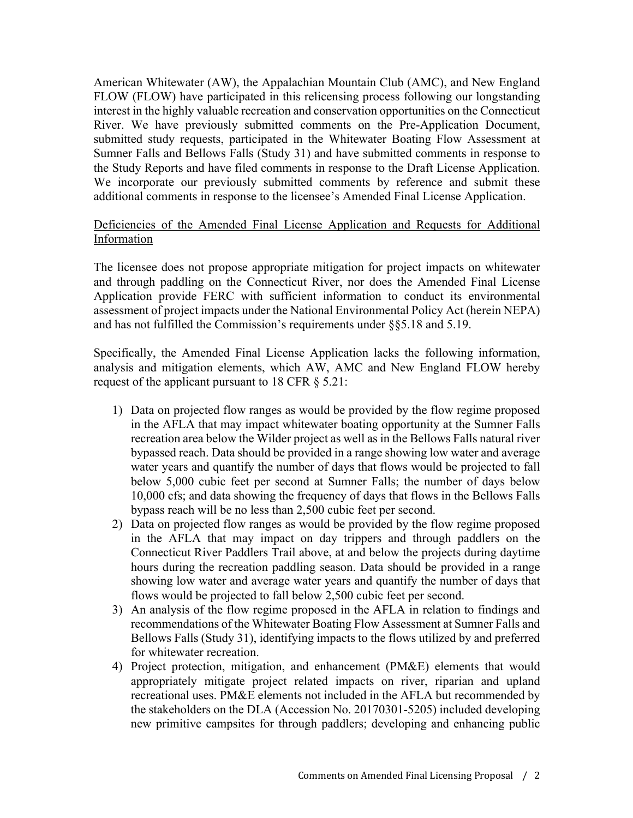American Whitewater (AW), the Appalachian Mountain Club (AMC), and New England FLOW (FLOW) have participated in this relicensing process following our longstanding interest in the highly valuable recreation and conservation opportunities on the Connecticut River. We have previously submitted comments on the Pre-Application Document, submitted study requests, participated in the Whitewater Boating Flow Assessment at Sumner Falls and Bellows Falls (Study 31) and have submitted comments in response to the Study Reports and have filed comments in response to the Draft License Application. We incorporate our previously submitted comments by reference and submit these additional comments in response to the licensee's Amended Final License Application.

### Deficiencies of the Amended Final License Application and Requests for Additional Information

The licensee does not propose appropriate mitigation for project impacts on whitewater and through paddling on the Connecticut River, nor does the Amended Final License Application provide FERC with sufficient information to conduct its environmental assessment of project impacts under the National Environmental Policy Act (herein NEPA) and has not fulfilled the Commission's requirements under §§5.18 and 5.19.

Specifically, the Amended Final License Application lacks the following information, analysis and mitigation elements, which AW, AMC and New England FLOW hereby request of the applicant pursuant to 18 CFR § 5.21:

- 1) Data on projected flow ranges as would be provided by the flow regime proposed in the AFLA that may impact whitewater boating opportunity at the Sumner Falls recreation area below the Wilder project as well as in the Bellows Falls natural river bypassed reach. Data should be provided in a range showing low water and average water years and quantify the number of days that flows would be projected to fall below 5,000 cubic feet per second at Sumner Falls; the number of days below 10,000 cfs; and data showing the frequency of days that flows in the Bellows Falls bypass reach will be no less than 2,500 cubic feet per second.
- 2) Data on projected flow ranges as would be provided by the flow regime proposed in the AFLA that may impact on day trippers and through paddlers on the Connecticut River Paddlers Trail above, at and below the projects during daytime hours during the recreation paddling season. Data should be provided in a range showing low water and average water years and quantify the number of days that flows would be projected to fall below 2,500 cubic feet per second.
- 3) An analysis of the flow regime proposed in the AFLA in relation to findings and recommendations of the Whitewater Boating Flow Assessment at Sumner Falls and Bellows Falls (Study 31), identifying impacts to the flows utilized by and preferred for whitewater recreation.
- 4) Project protection, mitigation, and enhancement (PM&E) elements that would appropriately mitigate project related impacts on river, riparian and upland recreational uses. PM&E elements not included in the AFLA but recommended by the stakeholders on the DLA (Accession No. 20170301-5205) included developing new primitive campsites for through paddlers; developing and enhancing public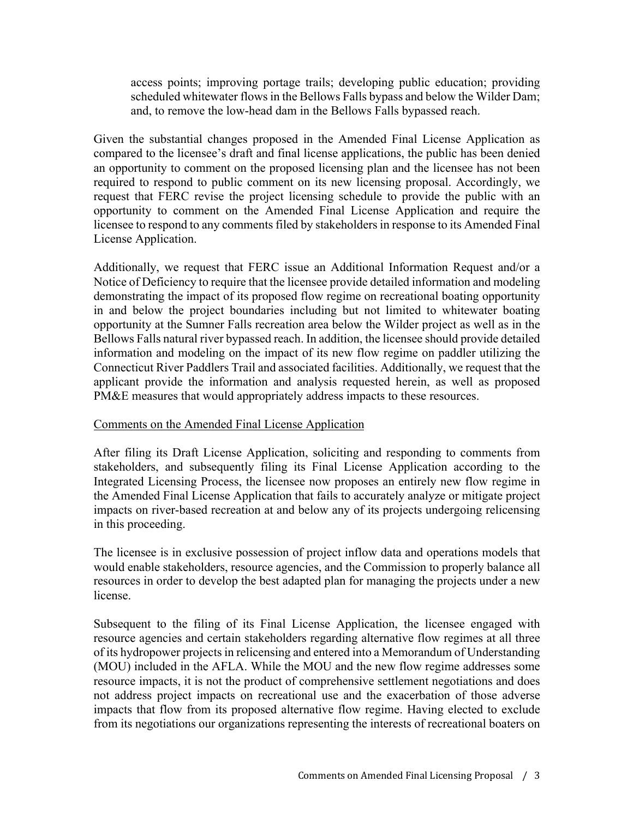access points; improving portage trails; developing public education; providing scheduled whitewater flows in the Bellows Falls bypass and below the Wilder Dam; and, to remove the low-head dam in the Bellows Falls bypassed reach.

Given the substantial changes proposed in the Amended Final License Application as compared to the licensee's draft and final license applications, the public has been denied an opportunity to comment on the proposed licensing plan and the licensee has not been required to respond to public comment on its new licensing proposal. Accordingly, we request that FERC revise the project licensing schedule to provide the public with an opportunity to comment on the Amended Final License Application and require the licensee to respond to any comments filed by stakeholders in response to its Amended Final License Application.

Additionally, we request that FERC issue an Additional Information Request and/or a Notice of Deficiency to require that the licensee provide detailed information and modeling demonstrating the impact of its proposed flow regime on recreational boating opportunity in and below the project boundaries including but not limited to whitewater boating opportunity at the Sumner Falls recreation area below the Wilder project as well as in the Bellows Falls natural river bypassed reach. In addition, the licensee should provide detailed information and modeling on the impact of its new flow regime on paddler utilizing the Connecticut River Paddlers Trail and associated facilities. Additionally, we request that the applicant provide the information and analysis requested herein, as well as proposed PM&E measures that would appropriately address impacts to these resources.

#### Comments on the Amended Final License Application

After filing its Draft License Application, soliciting and responding to comments from stakeholders, and subsequently filing its Final License Application according to the Integrated Licensing Process, the licensee now proposes an entirely new flow regime in the Amended Final License Application that fails to accurately analyze or mitigate project impacts on river-based recreation at and below any of its projects undergoing relicensing in this proceeding.

The licensee is in exclusive possession of project inflow data and operations models that would enable stakeholders, resource agencies, and the Commission to properly balance all resources in order to develop the best adapted plan for managing the projects under a new license.

Subsequent to the filing of its Final License Application, the licensee engaged with resource agencies and certain stakeholders regarding alternative flow regimes at all three of its hydropower projects in relicensing and entered into a Memorandum of Understanding (MOU) included in the AFLA. While the MOU and the new flow regime addresses some resource impacts, it is not the product of comprehensive settlement negotiations and does not address project impacts on recreational use and the exacerbation of those adverse impacts that flow from its proposed alternative flow regime. Having elected to exclude from its negotiations our organizations representing the interests of recreational boaters on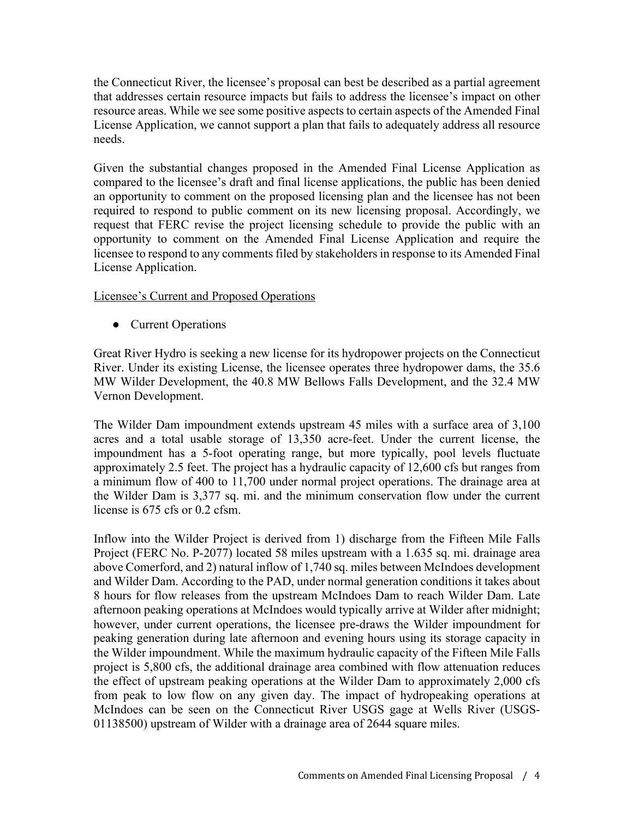the Connecticut River, the licensee's proposal can best be described as a partial agreement that addresses certain resource impacts but fails to address the licensee's impact on other resource areas. While we see some positive aspects to certain aspects of the Amended Final License Application, we cannot support a plan that fails to adequately address all resource needs.

Given the substantial changes proposed in the Amended Final License Application as compared to the licensee's draft and final license applications, the public has been denied an opportunity to comment on the proposed licensing plan and the licensee has not been required to respond to public comment on its new licensing proposal. Accordingly, we request that FERC revise the project licensing schedule to provide the public with an opportunity to comment on the Amended Final License Application and require the licensee to respond to any comments filed by stakeholders in response to its Amended Final License Application.

Licensee's Current and Proposed Operations

● Current Operations

Great River Hydro is seeking a new license for its hydropower projects on the Connecticut River. Under its existing License, the licensee operates three hydropower dams, the 35.6 MW Wilder Development, the 40.8 MW Bellows Falls Development, and the 32.4 MW Vernon Development.

The Wilder Dam impoundment extends upstream 45 miles with a surface area of 3,100 acres and a total usable storage of 13,350 acre-feet. Under the current license, the impoundment has a 5-foot operating range, but more typically, pool levels fluctuate approximately 2.5 feet. The project has a hydraulic capacity of 12,600 cfs but ranges from a minimum flow of 400 to 11,700 under normal project operations. The drainage area at the Wilder Dam is 3,377 sq. mi. and the minimum conservation flow under the current license is 675 cfs or 0.2 cfsm.

Inflow into the Wilder Project is derived from 1) discharge from the Fifteen Mile Falls Project (FERC No. P-2077) located 58 miles upstream with a 1.635 sq. mi. drainage area above Comerford, and 2) natural inflow of 1,740 sq. miles between McIndoes development and Wilder Dam. According to the PAD, under normal generation conditions it takes about 8 hours for flow releases from the upstream McIndoes Dam to reach Wilder Dam. Late afternoon peaking operations at McIndoes would typically arrive at Wilder after midnight; however, under current operations, the licensee pre-draws the Wilder impoundment for peaking generation during late afternoon and evening hours using its storage capacity in the Wilder impoundment. While the maximum hydraulic capacity of the Fifteen Mile Falls project is 5,800 cfs, the additional drainage area combined with flow attenuation reduces the effect of upstream peaking operations at the Wilder Dam to approximately 2,000 cfs from peak to low flow on any given day. The impact of hydropeaking operations at McIndoes can be seen on the Connecticut River USGS gage at Wells River (USGS-01138500) upstream of Wilder with a drainage area of 2644 square miles.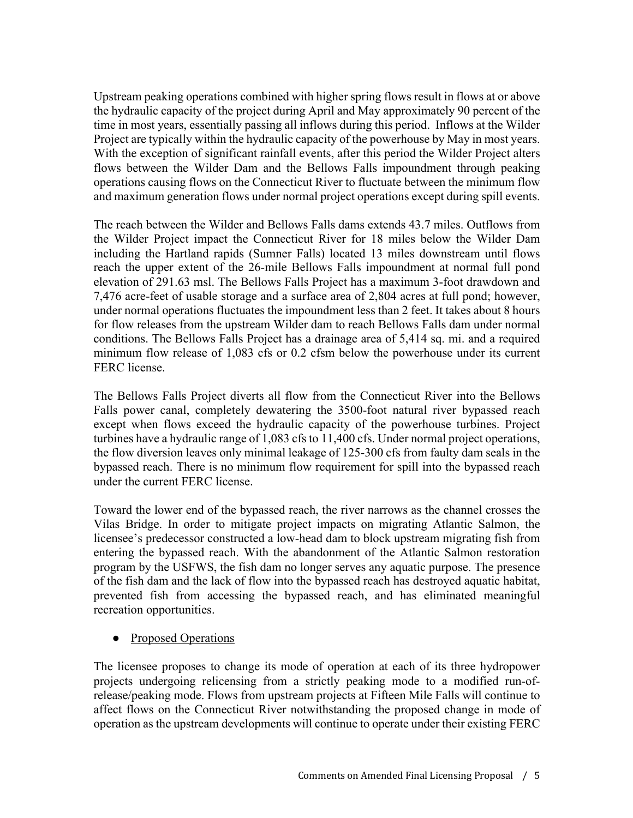Upstream peaking operations combined with higher spring flows result in flows at or above the hydraulic capacity of the project during April and May approximately 90 percent of the time in most years, essentially passing all inflows during this period. Inflows at the Wilder Project are typically within the hydraulic capacity of the powerhouse by May in most years. With the exception of significant rainfall events, after this period the Wilder Project alters flows between the Wilder Dam and the Bellows Falls impoundment through peaking operations causing flows on the Connecticut River to fluctuate between the minimum flow and maximum generation flows under normal project operations except during spill events.

The reach between the Wilder and Bellows Falls dams extends 43.7 miles. Outflows from the Wilder Project impact the Connecticut River for 18 miles below the Wilder Dam including the Hartland rapids (Sumner Falls) located 13 miles downstream until flows reach the upper extent of the 26-mile Bellows Falls impoundment at normal full pond elevation of 291.63 msl. The Bellows Falls Project has a maximum 3-foot drawdown and 7,476 acre-feet of usable storage and a surface area of 2,804 acres at full pond; however, under normal operations fluctuates the impoundment less than 2 feet. It takes about 8 hours for flow releases from the upstream Wilder dam to reach Bellows Falls dam under normal conditions. The Bellows Falls Project has a drainage area of 5,414 sq. mi. and a required minimum flow release of 1,083 cfs or 0.2 cfsm below the powerhouse under its current FERC license.

The Bellows Falls Project diverts all flow from the Connecticut River into the Bellows Falls power canal, completely dewatering the 3500-foot natural river bypassed reach except when flows exceed the hydraulic capacity of the powerhouse turbines. Project turbines have a hydraulic range of 1,083 cfs to 11,400 cfs. Under normal project operations, the flow diversion leaves only minimal leakage of 125-300 cfs from faulty dam seals in the bypassed reach. There is no minimum flow requirement for spill into the bypassed reach under the current FERC license.

Toward the lower end of the bypassed reach, the river narrows as the channel crosses the Vilas Bridge. In order to mitigate project impacts on migrating Atlantic Salmon, the licensee's predecessor constructed a low-head dam to block upstream migrating fish from entering the bypassed reach. With the abandonment of the Atlantic Salmon restoration program by the USFWS, the fish dam no longer serves any aquatic purpose. The presence of the fish dam and the lack of flow into the bypassed reach has destroyed aquatic habitat, prevented fish from accessing the bypassed reach, and has eliminated meaningful recreation opportunities.

● Proposed Operations

The licensee proposes to change its mode of operation at each of its three hydropower projects undergoing relicensing from a strictly peaking mode to a modified run-ofrelease/peaking mode. Flows from upstream projects at Fifteen Mile Falls will continue to affect flows on the Connecticut River notwithstanding the proposed change in mode of operation as the upstream developments will continue to operate under their existing FERC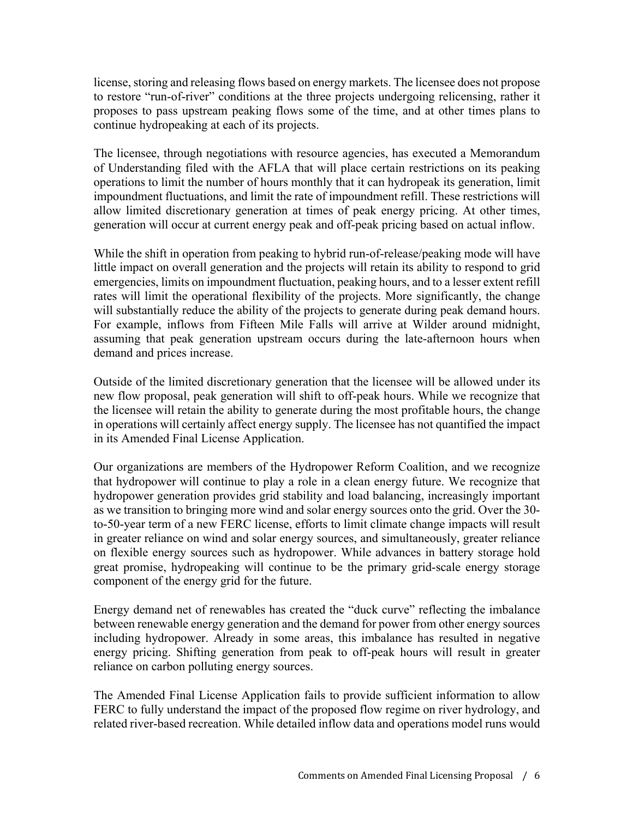license, storing and releasing flows based on energy markets. The licensee does not propose to restore "run-of-river" conditions at the three projects undergoing relicensing, rather it proposes to pass upstream peaking flows some of the time, and at other times plans to continue hydropeaking at each of its projects.

The licensee, through negotiations with resource agencies, has executed a Memorandum of Understanding filed with the AFLA that will place certain restrictions on its peaking operations to limit the number of hours monthly that it can hydropeak its generation, limit impoundment fluctuations, and limit the rate of impoundment refill. These restrictions will allow limited discretionary generation at times of peak energy pricing. At other times, generation will occur at current energy peak and off-peak pricing based on actual inflow.

While the shift in operation from peaking to hybrid run-of-release/peaking mode will have little impact on overall generation and the projects will retain its ability to respond to grid emergencies, limits on impoundment fluctuation, peaking hours, and to a lesser extent refill rates will limit the operational flexibility of the projects. More significantly, the change will substantially reduce the ability of the projects to generate during peak demand hours. For example, inflows from Fifteen Mile Falls will arrive at Wilder around midnight, assuming that peak generation upstream occurs during the late-afternoon hours when demand and prices increase.

Outside of the limited discretionary generation that the licensee will be allowed under its new flow proposal, peak generation will shift to off-peak hours. While we recognize that the licensee will retain the ability to generate during the most profitable hours, the change in operations will certainly affect energy supply. The licensee has not quantified the impact in its Amended Final License Application.

Our organizations are members of the Hydropower Reform Coalition, and we recognize that hydropower will continue to play a role in a clean energy future. We recognize that hydropower generation provides grid stability and load balancing, increasingly important as we transition to bringing more wind and solar energy sources onto the grid. Over the 30 to-50-year term of a new FERC license, efforts to limit climate change impacts will result in greater reliance on wind and solar energy sources, and simultaneously, greater reliance on flexible energy sources such as hydropower. While advances in battery storage hold great promise, hydropeaking will continue to be the primary grid-scale energy storage component of the energy grid for the future.

Energy demand net of renewables has created the "duck curve" reflecting the imbalance between renewable energy generation and the demand for power from other energy sources including hydropower. Already in some areas, this imbalance has resulted in negative energy pricing. Shifting generation from peak to off-peak hours will result in greater reliance on carbon polluting energy sources.

The Amended Final License Application fails to provide sufficient information to allow FERC to fully understand the impact of the proposed flow regime on river hydrology, and related river-based recreation. While detailed inflow data and operations model runs would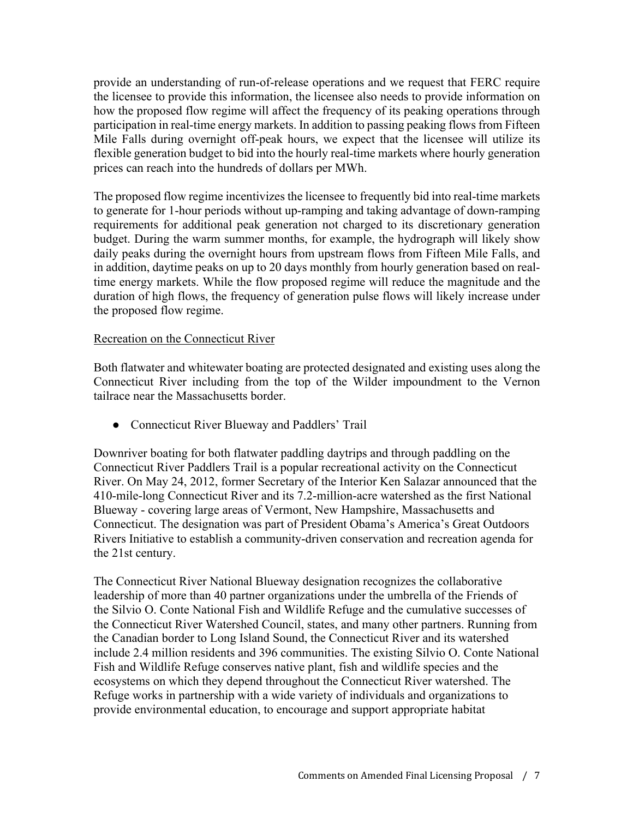provide an understanding of run-of-release operations and we request that FERC require the licensee to provide this information, the licensee also needs to provide information on how the proposed flow regime will affect the frequency of its peaking operations through participation in real-time energy markets. In addition to passing peaking flows from Fifteen Mile Falls during overnight off-peak hours, we expect that the licensee will utilize its flexible generation budget to bid into the hourly real-time markets where hourly generation prices can reach into the hundreds of dollars per MWh.

The proposed flow regime incentivizes the licensee to frequently bid into real-time markets to generate for 1-hour periods without up-ramping and taking advantage of down-ramping requirements for additional peak generation not charged to its discretionary generation budget. During the warm summer months, for example, the hydrograph will likely show daily peaks during the overnight hours from upstream flows from Fifteen Mile Falls, and in addition, daytime peaks on up to 20 days monthly from hourly generation based on realtime energy markets. While the flow proposed regime will reduce the magnitude and the duration of high flows, the frequency of generation pulse flows will likely increase under the proposed flow regime.

### Recreation on the Connecticut River

Both flatwater and whitewater boating are protected designated and existing uses along the Connecticut River including from the top of the Wilder impoundment to the Vernon tailrace near the Massachusetts border.

● Connecticut River Blueway and Paddlers' Trail

Downriver boating for both flatwater paddling daytrips and through paddling on the Connecticut River Paddlers Trail is a popular recreational activity on the Connecticut River. On May 24, 2012, former Secretary of the Interior Ken Salazar announced that the 410-mile-long Connecticut River and its 7.2-million-acre watershed as the first National Blueway - covering large areas of Vermont, New Hampshire, Massachusetts and Connecticut. The designation was part of President Obama's America's Great Outdoors Rivers Initiative to establish a community-driven conservation and recreation agenda for the 21st century.

The Connecticut River National Blueway designation recognizes the collaborative leadership of more than 40 partner organizations under the umbrella of the Friends of the Silvio O. Conte National Fish and Wildlife Refuge and the cumulative successes of the Connecticut River Watershed Council, states, and many other partners. Running from the Canadian border to Long Island Sound, the Connecticut River and its watershed include 2.4 million residents and 396 communities. The existing Silvio O. Conte National Fish and Wildlife Refuge conserves native plant, fish and wildlife species and the ecosystems on which they depend throughout the Connecticut River watershed. The Refuge works in partnership with a wide variety of individuals and organizations to provide environmental education, to encourage and support appropriate habitat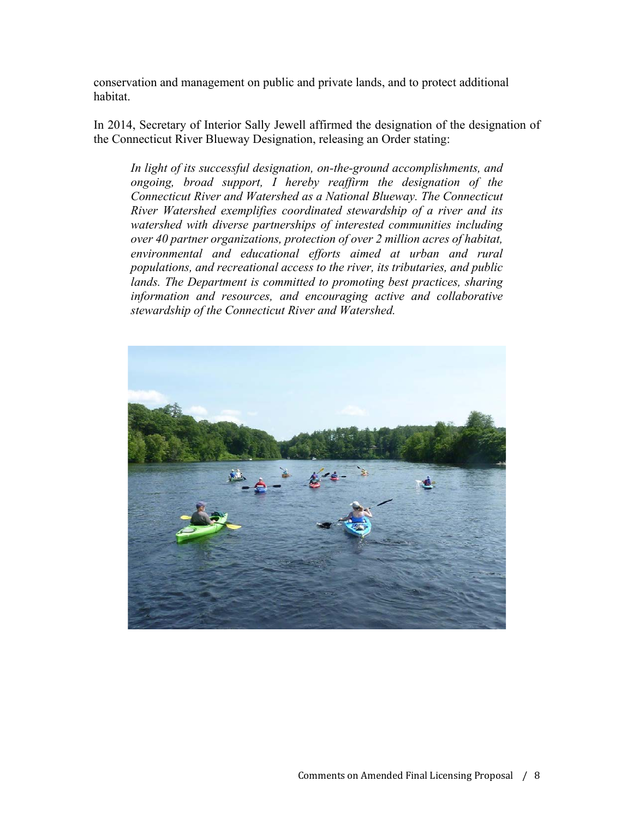conservation and management on public and private lands, and to protect additional habitat.

In 2014, Secretary of Interior Sally Jewell affirmed the designation of the designation of the Connecticut River Blueway Designation, releasing an Order stating:

*In light of its successful designation, on-the-ground accomplishments, and ongoing, broad support, I hereby reaffirm the designation of the Connecticut River and Watershed as a National Blueway. The Connecticut River Watershed exemplifies coordinated stewardship of a river and its watershed with diverse partnerships of interested communities including over 40 partner organizations, protection of over 2 million acres of habitat, environmental and educational efforts aimed at urban and rural populations, and recreational access to the river, its tributaries, and public lands. The Department is committed to promoting best practices, sharing information and resources, and encouraging active and collaborative stewardship of the Connecticut River and Watershed.*

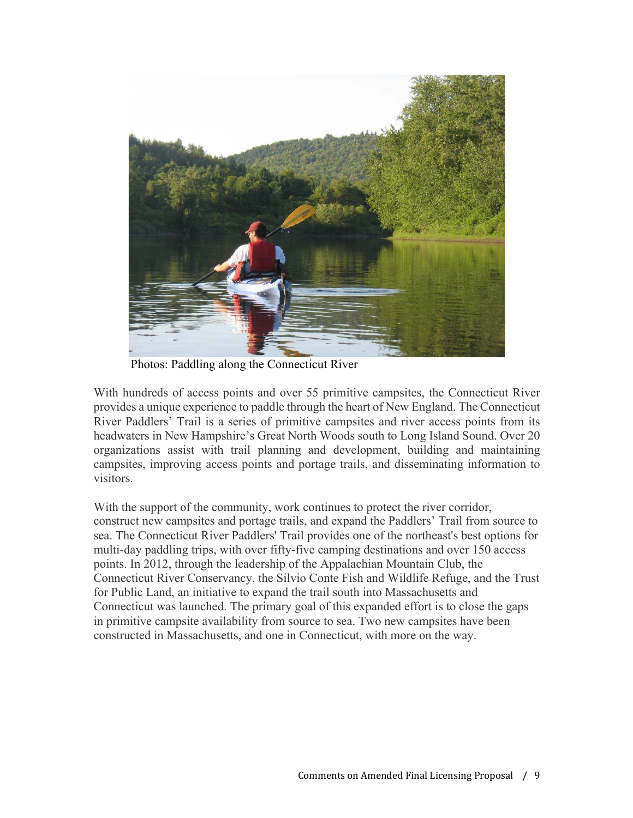

Photos: Paddling along the Connecticut River

With hundreds of access points and over 55 primitive campsites, the Connecticut River provides a unique experience to paddle through the heart of New England. The Connecticut River Paddlers' Trail is a series of primitive campsites and river access points from its headwaters in New Hampshire's Great North Woods south to Long Island Sound. Over 20 organizations assist with trail planning and development, building and maintaining campsites, improving access points and portage trails, and disseminating information to visitors.

With the support of the community, work continues to protect the river corridor, construct new campsites and portage trails, and expand the Paddlers' Trail from source to sea. The Connecticut River Paddlers' Trail provides one of the northeast's best options for multi-day paddling trips, with over fifty-five camping destinations and over 150 access points. In 2012, through the leadership of the Appalachian Mountain Club, the Connecticut River Conservancy, the Silvio Conte Fish and Wildlife Refuge, and the Trust for Public Land, an initiative to expand the trail south into Massachusetts and Connecticut was launched. The primary goal of this expanded effort is to close the gaps in primitive campsite availability from source to sea. Two new campsites have been constructed in Massachusetts, and one in Connecticut, with more on the way.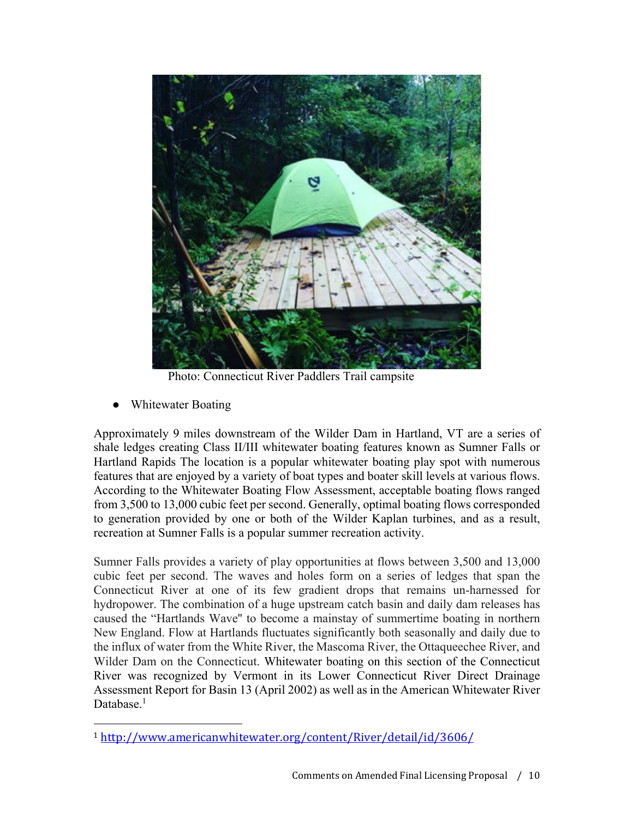

Photo: Connecticut River Paddlers Trail campsite

Whitewater Boating

Approximately 9 miles downstream of the Wilder Dam in Hartland, VT are a series of shale ledges creating Class II/III whitewater boating features known as Sumner Falls or Hartland Rapids The location is a popular whitewater boating play spot with numerous features that are enjoyed by a variety of boat types and boater skill levels at various flows. According to the Whitewater Boating Flow Assessment, acceptable boating flows ranged from 3,500 to 13,000 cubic feet per second. Generally, optimal boating flows corresponded to generation provided by one or both of the Wilder Kaplan turbines, and as a result, recreation at Sumner Falls is a popular summer recreation activity.

Sumner Falls provides a variety of play opportunities at flows between 3,500 and 13,000 cubic feet per second. The waves and holes form on a series of ledges that span the Connecticut River at one of its few gradient drops that remains un-harnessed for hydropower. The combination of a huge upstream catch basin and daily dam releases has caused the "Hartlands Wave'' to become a mainstay of summertime boating in northern New England. Flow at Hartlands fluctuates significantly both seasonally and daily due to the influx of water from the White River, the Mascoma River, the Ottaqueechee River, and Wilder Dam on the Connecticut. Whitewater boating on this section of the Connecticut River was recognized by Vermont in its Lower Connecticut River Direct Drainage Assessment Report for Basin 13 (April 2002) as well as in the American Whitewater River Database.<sup>1</sup>

<sup>1</sup> http://www.americanwhitewater.org/content/River/detail/id/3606/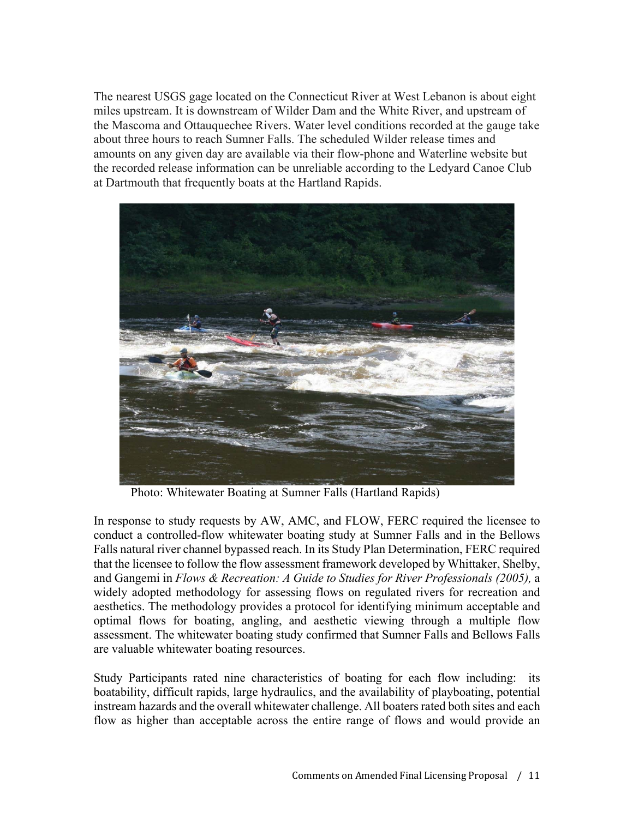The nearest USGS gage located on the Connecticut River at West Lebanon is about eight miles upstream. It is downstream of Wilder Dam and the White River, and upstream of the Mascoma and Ottauquechee Rivers. Water level conditions recorded at the gauge take about three hours to reach Sumner Falls. The scheduled Wilder release times and amounts on any given day are available via their flow-phone and Waterline website but the recorded release information can be unreliable according to the Ledyard Canoe Club at Dartmouth that frequently boats at the Hartland Rapids.



Photo: Whitewater Boating at Sumner Falls (Hartland Rapids)

In response to study requests by AW, AMC, and FLOW, FERC required the licensee to conduct a controlled-flow whitewater boating study at Sumner Falls and in the Bellows Falls natural river channel bypassed reach. In its Study Plan Determination, FERC required that the licensee to follow the flow assessment framework developed by Whittaker, Shelby, and Gangemi in *Flows & Recreation: A Guide to Studies for River Professionals (2005),* a widely adopted methodology for assessing flows on regulated rivers for recreation and aesthetics. The methodology provides a protocol for identifying minimum acceptable and optimal flows for boating, angling, and aesthetic viewing through a multiple flow assessment. The whitewater boating study confirmed that Sumner Falls and Bellows Falls are valuable whitewater boating resources.

Study Participants rated nine characteristics of boating for each flow including: its boatability, difficult rapids, large hydraulics, and the availability of playboating, potential instream hazards and the overall whitewater challenge. All boaters rated both sites and each flow as higher than acceptable across the entire range of flows and would provide an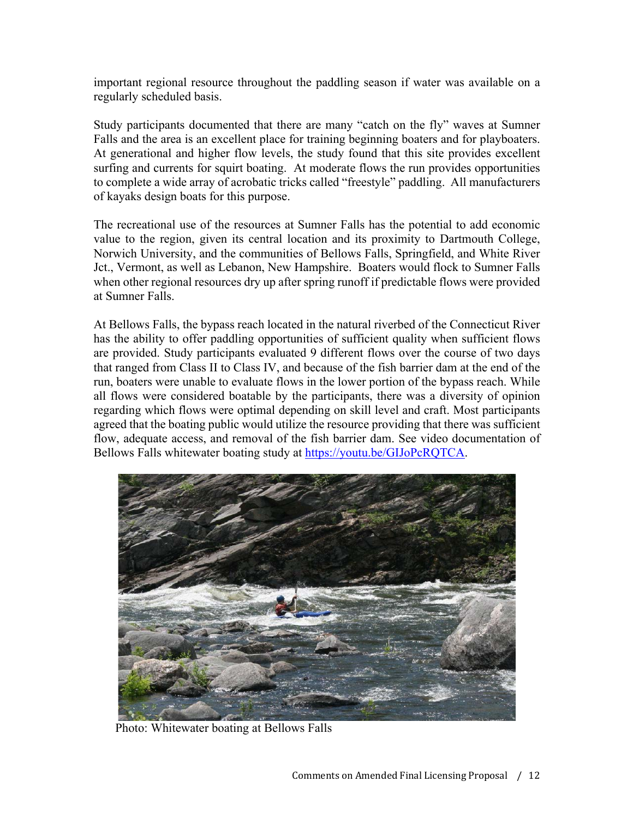important regional resource throughout the paddling season if water was available on a regularly scheduled basis.

Study participants documented that there are many "catch on the fly" waves at Sumner Falls and the area is an excellent place for training beginning boaters and for playboaters. At generational and higher flow levels, the study found that this site provides excellent surfing and currents for squirt boating. At moderate flows the run provides opportunities to complete a wide array of acrobatic tricks called "freestyle" paddling. All manufacturers of kayaks design boats for this purpose.

The recreational use of the resources at Sumner Falls has the potential to add economic value to the region, given its central location and its proximity to Dartmouth College, Norwich University, and the communities of Bellows Falls, Springfield, and White River Jct., Vermont, as well as Lebanon, New Hampshire. Boaters would flock to Sumner Falls when other regional resources dry up after spring runoff if predictable flows were provided at Sumner Falls.

At Bellows Falls, the bypass reach located in the natural riverbed of the Connecticut River has the ability to offer paddling opportunities of sufficient quality when sufficient flows are provided. Study participants evaluated 9 different flows over the course of two days that ranged from Class II to Class IV, and because of the fish barrier dam at the end of the run, boaters were unable to evaluate flows in the lower portion of the bypass reach. While all flows were considered boatable by the participants, there was a diversity of opinion regarding which flows were optimal depending on skill level and craft. Most participants agreed that the boating public would utilize the resource providing that there was sufficient flow, adequate access, and removal of the fish barrier dam. See video documentation of Bellows Falls whitewater boating study at https://youtu.be/GIJoPcRQTCA.



Photo: Whitewater boating at Bellows Falls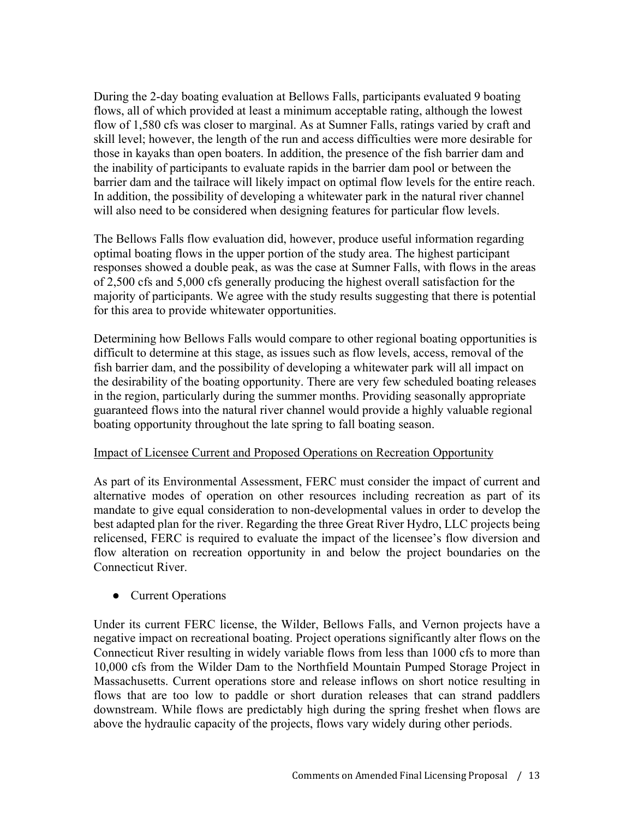During the 2-day boating evaluation at Bellows Falls, participants evaluated 9 boating flows, all of which provided at least a minimum acceptable rating, although the lowest flow of 1,580 cfs was closer to marginal. As at Sumner Falls, ratings varied by craft and skill level; however, the length of the run and access difficulties were more desirable for those in kayaks than open boaters. In addition, the presence of the fish barrier dam and the inability of participants to evaluate rapids in the barrier dam pool or between the barrier dam and the tailrace will likely impact on optimal flow levels for the entire reach. In addition, the possibility of developing a whitewater park in the natural river channel will also need to be considered when designing features for particular flow levels.

The Bellows Falls flow evaluation did, however, produce useful information regarding optimal boating flows in the upper portion of the study area. The highest participant responses showed a double peak, as was the case at Sumner Falls, with flows in the areas of 2,500 cfs and 5,000 cfs generally producing the highest overall satisfaction for the majority of participants. We agree with the study results suggesting that there is potential for this area to provide whitewater opportunities.

Determining how Bellows Falls would compare to other regional boating opportunities is difficult to determine at this stage, as issues such as flow levels, access, removal of the fish barrier dam, and the possibility of developing a whitewater park will all impact on the desirability of the boating opportunity. There are very few scheduled boating releases in the region, particularly during the summer months. Providing seasonally appropriate guaranteed flows into the natural river channel would provide a highly valuable regional boating opportunity throughout the late spring to fall boating season.

#### Impact of Licensee Current and Proposed Operations on Recreation Opportunity

As part of its Environmental Assessment, FERC must consider the impact of current and alternative modes of operation on other resources including recreation as part of its mandate to give equal consideration to non-developmental values in order to develop the best adapted plan for the river. Regarding the three Great River Hydro, LLC projects being relicensed, FERC is required to evaluate the impact of the licensee's flow diversion and flow alteration on recreation opportunity in and below the project boundaries on the Connecticut River.

● Current Operations

Under its current FERC license, the Wilder, Bellows Falls, and Vernon projects have a negative impact on recreational boating. Project operations significantly alter flows on the Connecticut River resulting in widely variable flows from less than 1000 cfs to more than 10,000 cfs from the Wilder Dam to the Northfield Mountain Pumped Storage Project in Massachusetts. Current operations store and release inflows on short notice resulting in flows that are too low to paddle or short duration releases that can strand paddlers downstream. While flows are predictably high during the spring freshet when flows are above the hydraulic capacity of the projects, flows vary widely during other periods.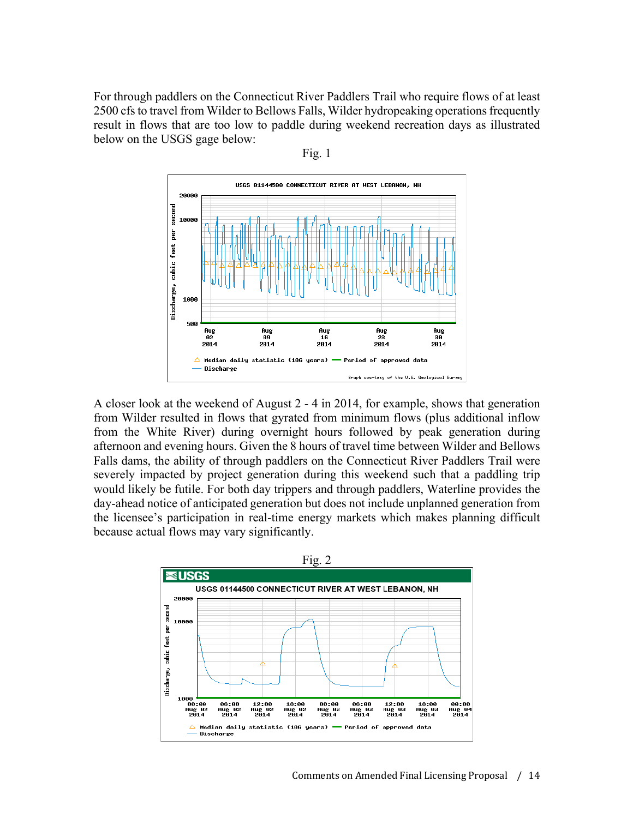For through paddlers on the Connecticut River Paddlers Trail who require flows of at least 2500 cfs to travel from Wilder to Bellows Falls, Wilder hydropeaking operations frequently result in flows that are too low to paddle during weekend recreation days as illustrated below on the USGS gage below:



Fig. 1

A closer look at the weekend of August 2 - 4 in 2014, for example, shows that generation from Wilder resulted in flows that gyrated from minimum flows (plus additional inflow from the White River) during overnight hours followed by peak generation during afternoon and evening hours. Given the 8 hours of travel time between Wilder and Bellows Falls dams, the ability of through paddlers on the Connecticut River Paddlers Trail were severely impacted by project generation during this weekend such that a paddling trip would likely be futile. For both day trippers and through paddlers, Waterline provides the day-ahead notice of anticipated generation but does not include unplanned generation from the licensee's participation in real-time energy markets which makes planning difficult because actual flows may vary significantly.

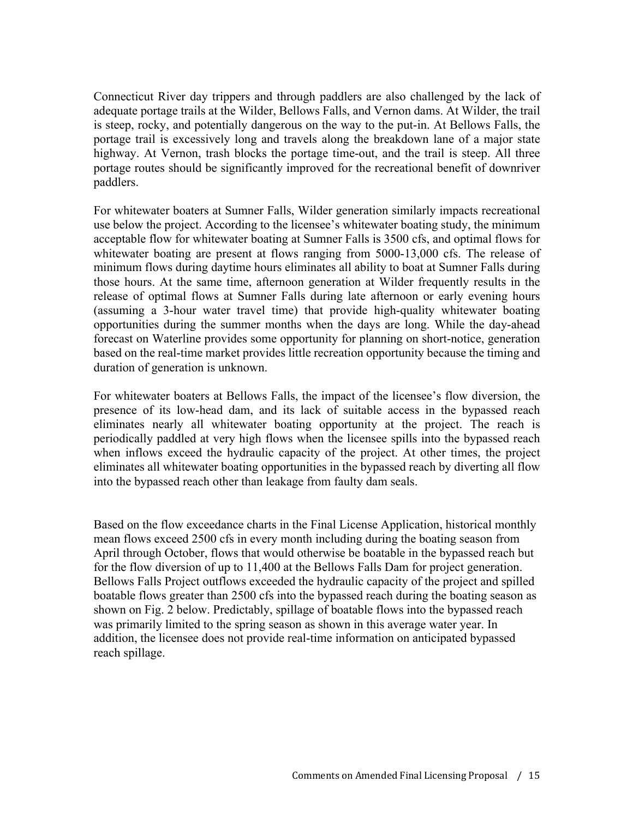Connecticut River day trippers and through paddlers are also challenged by the lack of adequate portage trails at the Wilder, Bellows Falls, and Vernon dams. At Wilder, the trail is steep, rocky, and potentially dangerous on the way to the put-in. At Bellows Falls, the portage trail is excessively long and travels along the breakdown lane of a major state highway. At Vernon, trash blocks the portage time-out, and the trail is steep. All three portage routes should be significantly improved for the recreational benefit of downriver paddlers.

For whitewater boaters at Sumner Falls, Wilder generation similarly impacts recreational use below the project. According to the licensee's whitewater boating study, the minimum acceptable flow for whitewater boating at Sumner Falls is 3500 cfs, and optimal flows for whitewater boating are present at flows ranging from 5000-13,000 cfs. The release of minimum flows during daytime hours eliminates all ability to boat at Sumner Falls during those hours. At the same time, afternoon generation at Wilder frequently results in the release of optimal flows at Sumner Falls during late afternoon or early evening hours (assuming a 3-hour water travel time) that provide high-quality whitewater boating opportunities during the summer months when the days are long. While the day-ahead forecast on Waterline provides some opportunity for planning on short-notice, generation based on the real-time market provides little recreation opportunity because the timing and duration of generation is unknown.

For whitewater boaters at Bellows Falls, the impact of the licensee's flow diversion, the presence of its low-head dam, and its lack of suitable access in the bypassed reach eliminates nearly all whitewater boating opportunity at the project. The reach is periodically paddled at very high flows when the licensee spills into the bypassed reach when inflows exceed the hydraulic capacity of the project. At other times, the project eliminates all whitewater boating opportunities in the bypassed reach by diverting all flow into the bypassed reach other than leakage from faulty dam seals.

Based on the flow exceedance charts in the Final License Application, historical monthly mean flows exceed 2500 cfs in every month including during the boating season from April through October, flows that would otherwise be boatable in the bypassed reach but for the flow diversion of up to 11,400 at the Bellows Falls Dam for project generation. Bellows Falls Project outflows exceeded the hydraulic capacity of the project and spilled boatable flows greater than 2500 cfs into the bypassed reach during the boating season as shown on Fig. 2 below. Predictably, spillage of boatable flows into the bypassed reach was primarily limited to the spring season as shown in this average water year. In addition, the licensee does not provide real-time information on anticipated bypassed reach spillage.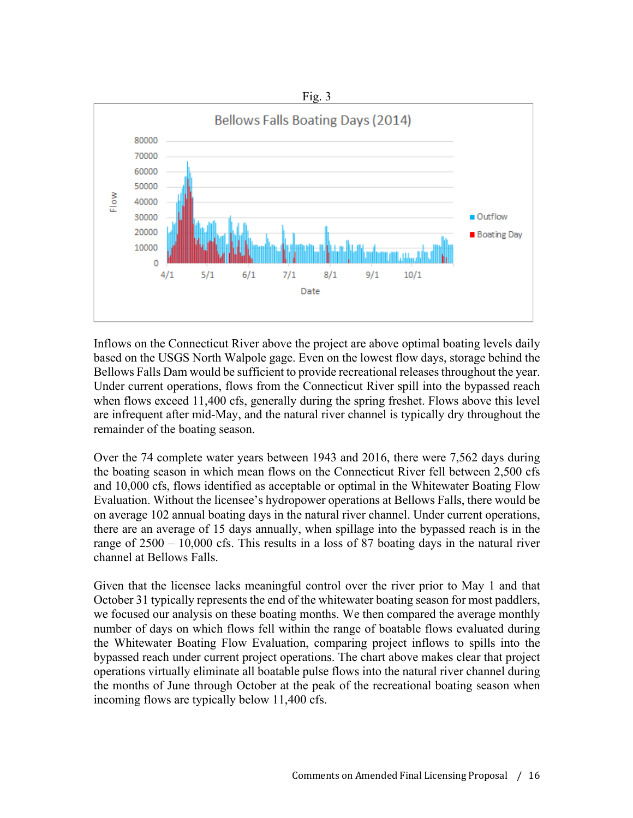

Inflows on the Connecticut River above the project are above optimal boating levels daily based on the USGS North Walpole gage. Even on the lowest flow days, storage behind the Bellows Falls Dam would be sufficient to provide recreational releases throughout the year. Under current operations, flows from the Connecticut River spill into the bypassed reach when flows exceed 11,400 cfs, generally during the spring freshet. Flows above this level are infrequent after mid-May, and the natural river channel is typically dry throughout the remainder of the boating season.

Over the 74 complete water years between 1943 and 2016, there were 7,562 days during the boating season in which mean flows on the Connecticut River fell between 2,500 cfs and 10,000 cfs, flows identified as acceptable or optimal in the Whitewater Boating Flow Evaluation. Without the licensee's hydropower operations at Bellows Falls, there would be on average 102 annual boating days in the natural river channel. Under current operations, there are an average of 15 days annually, when spillage into the bypassed reach is in the range of 2500 – 10,000 cfs. This results in a loss of 87 boating days in the natural river channel at Bellows Falls.

Given that the licensee lacks meaningful control over the river prior to May 1 and that October 31 typically represents the end of the whitewater boating season for most paddlers, we focused our analysis on these boating months. We then compared the average monthly number of days on which flows fell within the range of boatable flows evaluated during the Whitewater Boating Flow Evaluation, comparing project inflows to spills into the bypassed reach under current project operations. The chart above makes clear that project operations virtually eliminate all boatable pulse flows into the natural river channel during the months of June through October at the peak of the recreational boating season when incoming flows are typically below 11,400 cfs.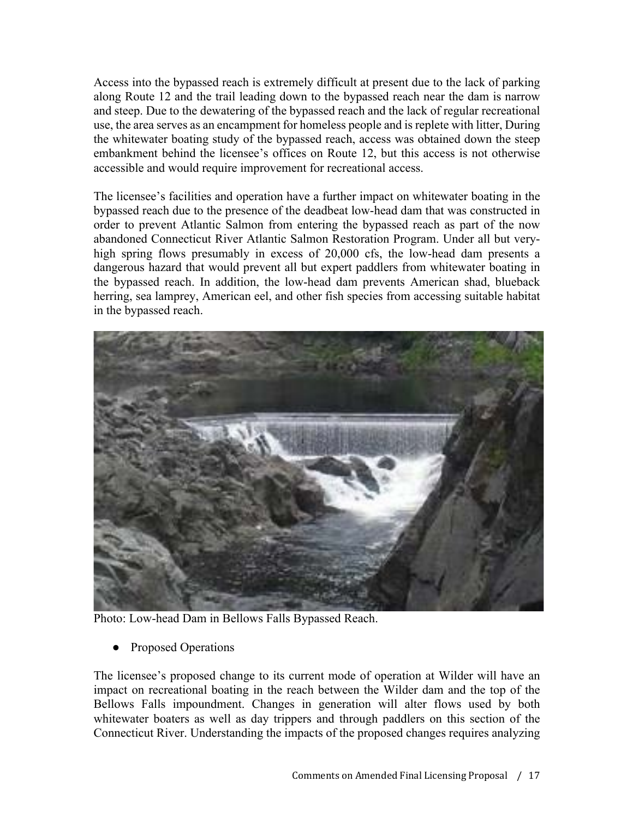Access into the bypassed reach is extremely difficult at present due to the lack of parking along Route 12 and the trail leading down to the bypassed reach near the dam is narrow and steep. Due to the dewatering of the bypassed reach and the lack of regular recreational use, the area serves as an encampment for homeless people and is replete with litter, During the whitewater boating study of the bypassed reach, access was obtained down the steep embankment behind the licensee's offices on Route 12, but this access is not otherwise accessible and would require improvement for recreational access.

The licensee's facilities and operation have a further impact on whitewater boating in the bypassed reach due to the presence of the deadbeat low-head dam that was constructed in order to prevent Atlantic Salmon from entering the bypassed reach as part of the now abandoned Connecticut River Atlantic Salmon Restoration Program. Under all but veryhigh spring flows presumably in excess of 20,000 cfs, the low-head dam presents a dangerous hazard that would prevent all but expert paddlers from whitewater boating in the bypassed reach. In addition, the low-head dam prevents American shad, blueback herring, sea lamprey, American eel, and other fish species from accessing suitable habitat in the bypassed reach.



Photo: Low-head Dam in Bellows Falls Bypassed Reach.

Proposed Operations

The licensee's proposed change to its current mode of operation at Wilder will have an impact on recreational boating in the reach between the Wilder dam and the top of the Bellows Falls impoundment. Changes in generation will alter flows used by both whitewater boaters as well as day trippers and through paddlers on this section of the Connecticut River. Understanding the impacts of the proposed changes requires analyzing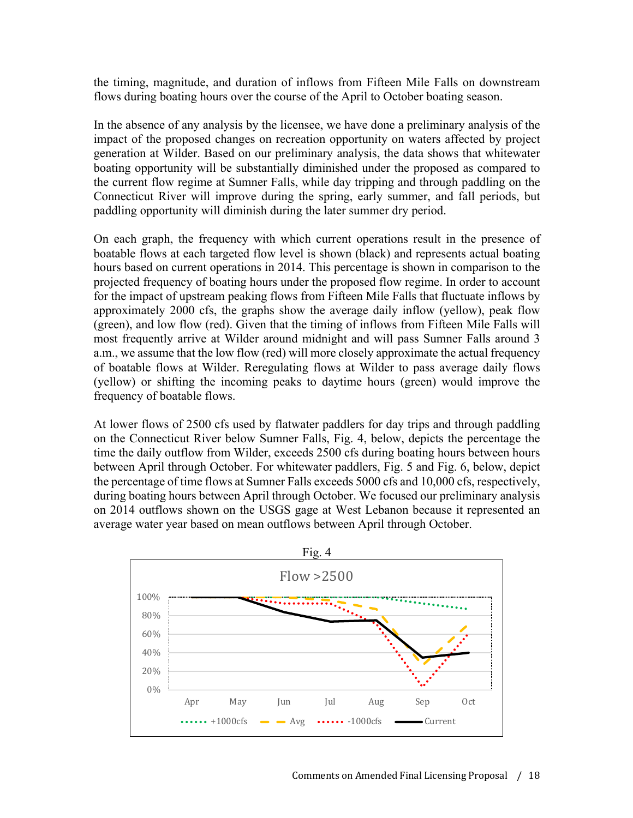the timing, magnitude, and duration of inflows from Fifteen Mile Falls on downstream flows during boating hours over the course of the April to October boating season.

In the absence of any analysis by the licensee, we have done a preliminary analysis of the impact of the proposed changes on recreation opportunity on waters affected by project generation at Wilder. Based on our preliminary analysis, the data shows that whitewater boating opportunity will be substantially diminished under the proposed as compared to the current flow regime at Sumner Falls, while day tripping and through paddling on the Connecticut River will improve during the spring, early summer, and fall periods, but paddling opportunity will diminish during the later summer dry period.

On each graph, the frequency with which current operations result in the presence of boatable flows at each targeted flow level is shown (black) and represents actual boating hours based on current operations in 2014. This percentage is shown in comparison to the projected frequency of boating hours under the proposed flow regime. In order to account for the impact of upstream peaking flows from Fifteen Mile Falls that fluctuate inflows by approximately 2000 cfs, the graphs show the average daily inflow (yellow), peak flow (green), and low flow (red). Given that the timing of inflows from Fifteen Mile Falls will most frequently arrive at Wilder around midnight and will pass Sumner Falls around 3 a.m., we assume that the low flow (red) will more closely approximate the actual frequency of boatable flows at Wilder. Reregulating flows at Wilder to pass average daily flows (yellow) or shifting the incoming peaks to daytime hours (green) would improve the frequency of boatable flows.

At lower flows of 2500 cfs used by flatwater paddlers for day trips and through paddling on the Connecticut River below Sumner Falls, Fig. 4, below, depicts the percentage the time the daily outflow from Wilder, exceeds 2500 cfs during boating hours between hours between April through October. For whitewater paddlers, Fig. 5 and Fig. 6, below, depict the percentage of time flows at Sumner Falls exceeds 5000 cfs and 10,000 cfs, respectively, during boating hours between April through October. We focused our preliminary analysis on 2014 outflows shown on the USGS gage at West Lebanon because it represented an average water year based on mean outflows between April through October.

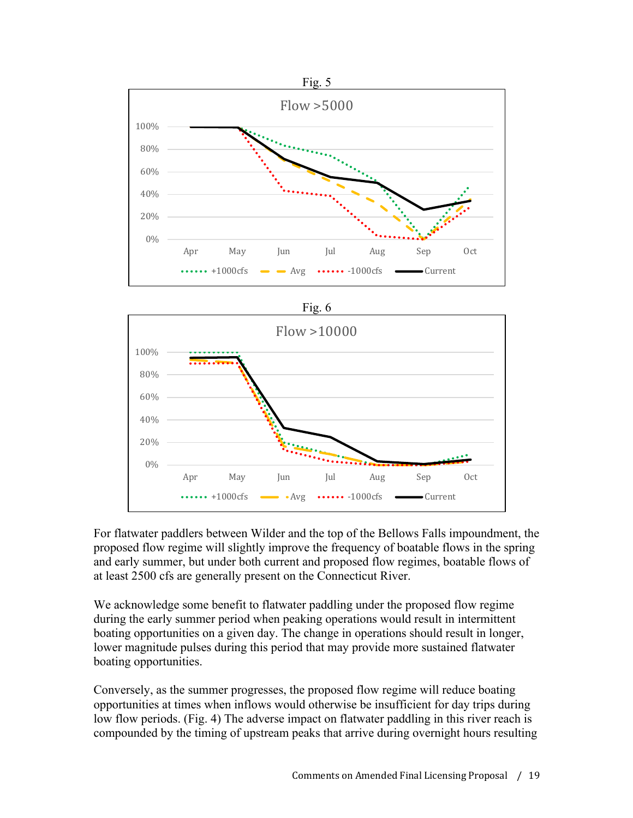



For flatwater paddlers between Wilder and the top of the Bellows Falls impoundment, the proposed flow regime will slightly improve the frequency of boatable flows in the spring and early summer, but under both current and proposed flow regimes, boatable flows of at least 2500 cfs are generally present on the Connecticut River.

We acknowledge some benefit to flatwater paddling under the proposed flow regime during the early summer period when peaking operations would result in intermittent boating opportunities on a given day. The change in operations should result in longer, lower magnitude pulses during this period that may provide more sustained flatwater boating opportunities.

Conversely, as the summer progresses, the proposed flow regime will reduce boating opportunities at times when inflows would otherwise be insufficient for day trips during low flow periods. (Fig. 4) The adverse impact on flatwater paddling in this river reach is compounded by the timing of upstream peaks that arrive during overnight hours resulting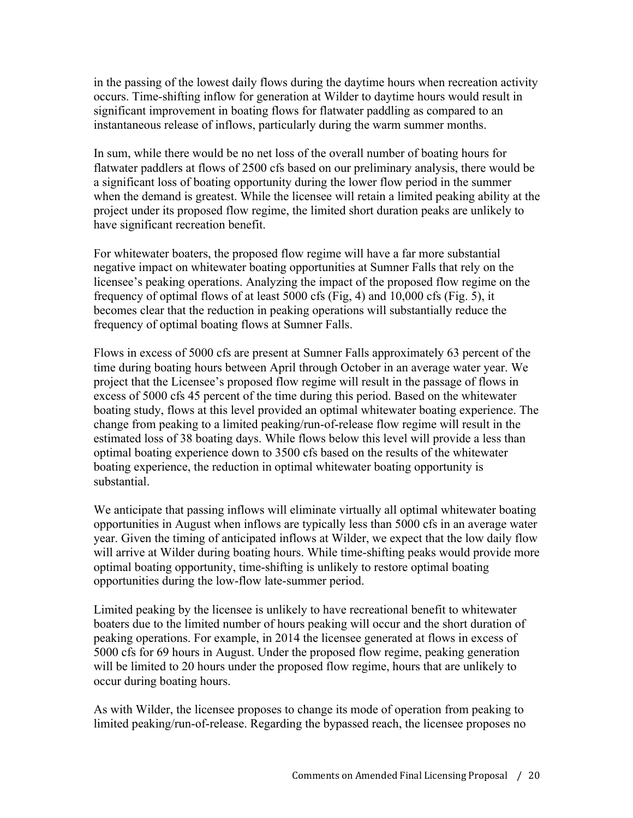in the passing of the lowest daily flows during the daytime hours when recreation activity occurs. Time-shifting inflow for generation at Wilder to daytime hours would result in significant improvement in boating flows for flatwater paddling as compared to an instantaneous release of inflows, particularly during the warm summer months.

In sum, while there would be no net loss of the overall number of boating hours for flatwater paddlers at flows of 2500 cfs based on our preliminary analysis, there would be a significant loss of boating opportunity during the lower flow period in the summer when the demand is greatest. While the licensee will retain a limited peaking ability at the project under its proposed flow regime, the limited short duration peaks are unlikely to have significant recreation benefit.

For whitewater boaters, the proposed flow regime will have a far more substantial negative impact on whitewater boating opportunities at Sumner Falls that rely on the licensee's peaking operations. Analyzing the impact of the proposed flow regime on the frequency of optimal flows of at least 5000 cfs (Fig, 4) and 10,000 cfs (Fig. 5), it becomes clear that the reduction in peaking operations will substantially reduce the frequency of optimal boating flows at Sumner Falls.

Flows in excess of 5000 cfs are present at Sumner Falls approximately 63 percent of the time during boating hours between April through October in an average water year. We project that the Licensee's proposed flow regime will result in the passage of flows in excess of 5000 cfs 45 percent of the time during this period. Based on the whitewater boating study, flows at this level provided an optimal whitewater boating experience. The change from peaking to a limited peaking/run-of-release flow regime will result in the estimated loss of 38 boating days. While flows below this level will provide a less than optimal boating experience down to 3500 cfs based on the results of the whitewater boating experience, the reduction in optimal whitewater boating opportunity is substantial.

We anticipate that passing inflows will eliminate virtually all optimal whitewater boating opportunities in August when inflows are typically less than 5000 cfs in an average water year. Given the timing of anticipated inflows at Wilder, we expect that the low daily flow will arrive at Wilder during boating hours. While time-shifting peaks would provide more optimal boating opportunity, time-shifting is unlikely to restore optimal boating opportunities during the low-flow late-summer period.

Limited peaking by the licensee is unlikely to have recreational benefit to whitewater boaters due to the limited number of hours peaking will occur and the short duration of peaking operations. For example, in 2014 the licensee generated at flows in excess of 5000 cfs for 69 hours in August. Under the proposed flow regime, peaking generation will be limited to 20 hours under the proposed flow regime, hours that are unlikely to occur during boating hours.

As with Wilder, the licensee proposes to change its mode of operation from peaking to limited peaking/run-of-release. Regarding the bypassed reach, the licensee proposes no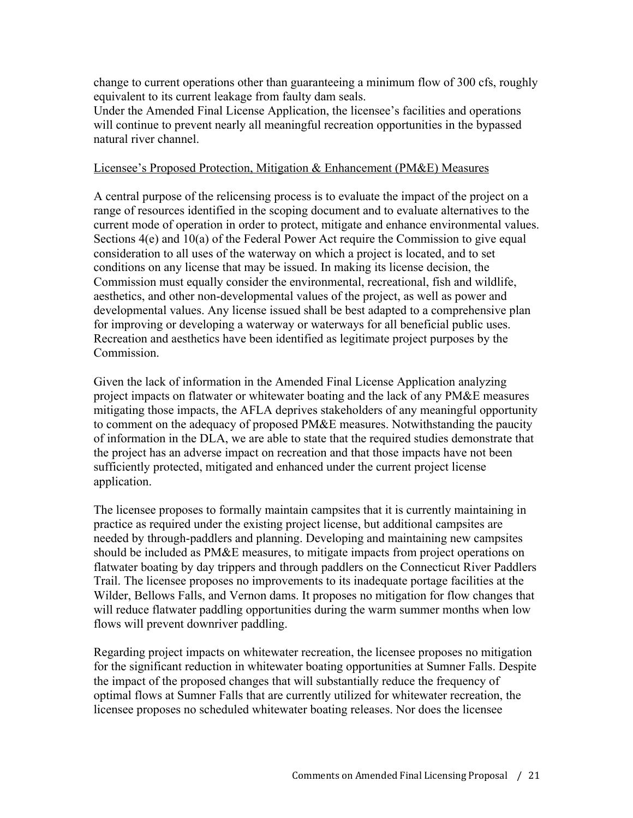change to current operations other than guaranteeing a minimum flow of 300 cfs, roughly equivalent to its current leakage from faulty dam seals.

Under the Amended Final License Application, the licensee's facilities and operations will continue to prevent nearly all meaningful recreation opportunities in the bypassed natural river channel.

#### Licensee's Proposed Protection, Mitigation & Enhancement (PM&E) Measures

A central purpose of the relicensing process is to evaluate the impact of the project on a range of resources identified in the scoping document and to evaluate alternatives to the current mode of operation in order to protect, mitigate and enhance environmental values. Sections 4(e) and 10(a) of the Federal Power Act require the Commission to give equal consideration to all uses of the waterway on which a project is located, and to set conditions on any license that may be issued. In making its license decision, the Commission must equally consider the environmental, recreational, fish and wildlife, aesthetics, and other non-developmental values of the project, as well as power and developmental values. Any license issued shall be best adapted to a comprehensive plan for improving or developing a waterway or waterways for all beneficial public uses. Recreation and aesthetics have been identified as legitimate project purposes by the Commission.

Given the lack of information in the Amended Final License Application analyzing project impacts on flatwater or whitewater boating and the lack of any PM&E measures mitigating those impacts, the AFLA deprives stakeholders of any meaningful opportunity to comment on the adequacy of proposed PM&E measures. Notwithstanding the paucity of information in the DLA, we are able to state that the required studies demonstrate that the project has an adverse impact on recreation and that those impacts have not been sufficiently protected, mitigated and enhanced under the current project license application.

The licensee proposes to formally maintain campsites that it is currently maintaining in practice as required under the existing project license, but additional campsites are needed by through-paddlers and planning. Developing and maintaining new campsites should be included as PM&E measures, to mitigate impacts from project operations on flatwater boating by day trippers and through paddlers on the Connecticut River Paddlers Trail. The licensee proposes no improvements to its inadequate portage facilities at the Wilder, Bellows Falls, and Vernon dams. It proposes no mitigation for flow changes that will reduce flatwater paddling opportunities during the warm summer months when low flows will prevent downriver paddling.

Regarding project impacts on whitewater recreation, the licensee proposes no mitigation for the significant reduction in whitewater boating opportunities at Sumner Falls. Despite the impact of the proposed changes that will substantially reduce the frequency of optimal flows at Sumner Falls that are currently utilized for whitewater recreation, the licensee proposes no scheduled whitewater boating releases. Nor does the licensee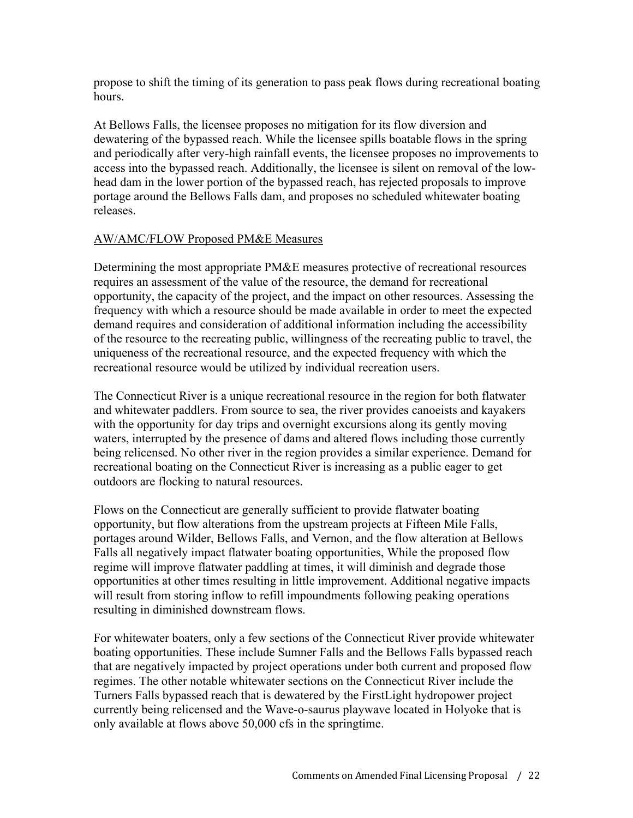propose to shift the timing of its generation to pass peak flows during recreational boating hours.

At Bellows Falls, the licensee proposes no mitigation for its flow diversion and dewatering of the bypassed reach. While the licensee spills boatable flows in the spring and periodically after very-high rainfall events, the licensee proposes no improvements to access into the bypassed reach. Additionally, the licensee is silent on removal of the lowhead dam in the lower portion of the bypassed reach, has rejected proposals to improve portage around the Bellows Falls dam, and proposes no scheduled whitewater boating releases.

#### AW/AMC/FLOW Proposed PM&E Measures

Determining the most appropriate PM&E measures protective of recreational resources requires an assessment of the value of the resource, the demand for recreational opportunity, the capacity of the project, and the impact on other resources. Assessing the frequency with which a resource should be made available in order to meet the expected demand requires and consideration of additional information including the accessibility of the resource to the recreating public, willingness of the recreating public to travel, the uniqueness of the recreational resource, and the expected frequency with which the recreational resource would be utilized by individual recreation users.

The Connecticut River is a unique recreational resource in the region for both flatwater and whitewater paddlers. From source to sea, the river provides canoeists and kayakers with the opportunity for day trips and overnight excursions along its gently moving waters, interrupted by the presence of dams and altered flows including those currently being relicensed. No other river in the region provides a similar experience. Demand for recreational boating on the Connecticut River is increasing as a public eager to get outdoors are flocking to natural resources.

Flows on the Connecticut are generally sufficient to provide flatwater boating opportunity, but flow alterations from the upstream projects at Fifteen Mile Falls, portages around Wilder, Bellows Falls, and Vernon, and the flow alteration at Bellows Falls all negatively impact flatwater boating opportunities, While the proposed flow regime will improve flatwater paddling at times, it will diminish and degrade those opportunities at other times resulting in little improvement. Additional negative impacts will result from storing inflow to refill impoundments following peaking operations resulting in diminished downstream flows.

For whitewater boaters, only a few sections of the Connecticut River provide whitewater boating opportunities. These include Sumner Falls and the Bellows Falls bypassed reach that are negatively impacted by project operations under both current and proposed flow regimes. The other notable whitewater sections on the Connecticut River include the Turners Falls bypassed reach that is dewatered by the FirstLight hydropower project currently being relicensed and the Wave-o-saurus playwave located in Holyoke that is only available at flows above 50,000 cfs in the springtime.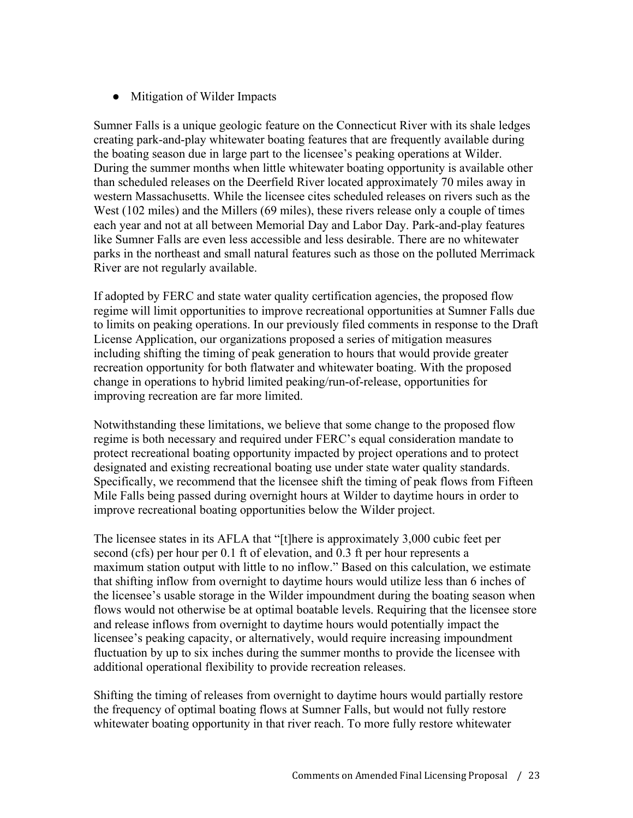● Mitigation of Wilder Impacts

Sumner Falls is a unique geologic feature on the Connecticut River with its shale ledges creating park-and-play whitewater boating features that are frequently available during the boating season due in large part to the licensee's peaking operations at Wilder. During the summer months when little whitewater boating opportunity is available other than scheduled releases on the Deerfield River located approximately 70 miles away in western Massachusetts. While the licensee cites scheduled releases on rivers such as the West (102 miles) and the Millers (69 miles), these rivers release only a couple of times each year and not at all between Memorial Day and Labor Day. Park-and-play features like Sumner Falls are even less accessible and less desirable. There are no whitewater parks in the northeast and small natural features such as those on the polluted Merrimack River are not regularly available.

If adopted by FERC and state water quality certification agencies, the proposed flow regime will limit opportunities to improve recreational opportunities at Sumner Falls due to limits on peaking operations. In our previously filed comments in response to the Draft License Application, our organizations proposed a series of mitigation measures including shifting the timing of peak generation to hours that would provide greater recreation opportunity for both flatwater and whitewater boating. With the proposed change in operations to hybrid limited peaking/run-of-release, opportunities for improving recreation are far more limited.

Notwithstanding these limitations, we believe that some change to the proposed flow regime is both necessary and required under FERC's equal consideration mandate to protect recreational boating opportunity impacted by project operations and to protect designated and existing recreational boating use under state water quality standards. Specifically, we recommend that the licensee shift the timing of peak flows from Fifteen Mile Falls being passed during overnight hours at Wilder to daytime hours in order to improve recreational boating opportunities below the Wilder project.

The licensee states in its AFLA that "[t]here is approximately 3,000 cubic feet per second (cfs) per hour per 0.1 ft of elevation, and 0.3 ft per hour represents a maximum station output with little to no inflow." Based on this calculation, we estimate that shifting inflow from overnight to daytime hours would utilize less than 6 inches of the licensee's usable storage in the Wilder impoundment during the boating season when flows would not otherwise be at optimal boatable levels. Requiring that the licensee store and release inflows from overnight to daytime hours would potentially impact the licensee's peaking capacity, or alternatively, would require increasing impoundment fluctuation by up to six inches during the summer months to provide the licensee with additional operational flexibility to provide recreation releases.

Shifting the timing of releases from overnight to daytime hours would partially restore the frequency of optimal boating flows at Sumner Falls, but would not fully restore whitewater boating opportunity in that river reach. To more fully restore whitewater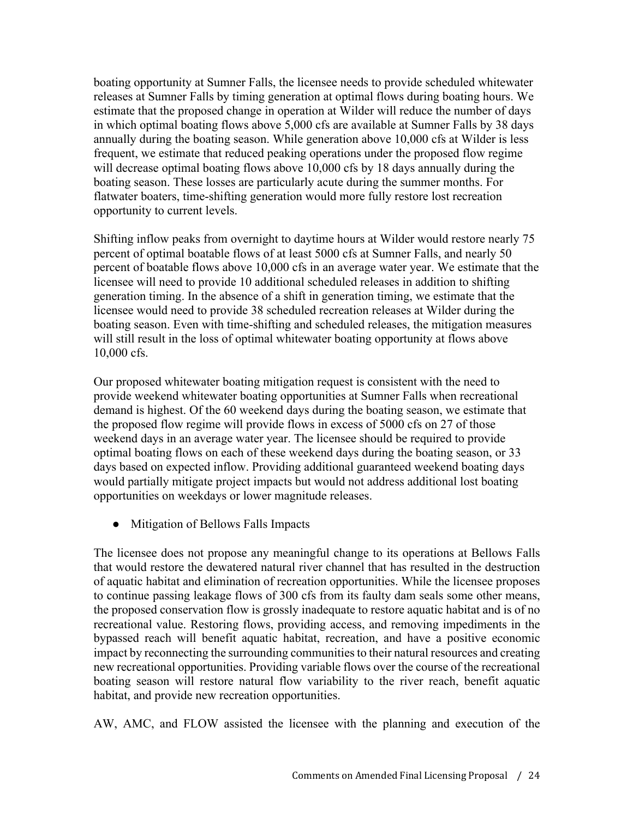boating opportunity at Sumner Falls, the licensee needs to provide scheduled whitewater releases at Sumner Falls by timing generation at optimal flows during boating hours. We estimate that the proposed change in operation at Wilder will reduce the number of days in which optimal boating flows above 5,000 cfs are available at Sumner Falls by 38 days annually during the boating season. While generation above 10,000 cfs at Wilder is less frequent, we estimate that reduced peaking operations under the proposed flow regime will decrease optimal boating flows above 10,000 cfs by 18 days annually during the boating season. These losses are particularly acute during the summer months. For flatwater boaters, time-shifting generation would more fully restore lost recreation opportunity to current levels.

Shifting inflow peaks from overnight to daytime hours at Wilder would restore nearly 75 percent of optimal boatable flows of at least 5000 cfs at Sumner Falls, and nearly 50 percent of boatable flows above 10,000 cfs in an average water year. We estimate that the licensee will need to provide 10 additional scheduled releases in addition to shifting generation timing. In the absence of a shift in generation timing, we estimate that the licensee would need to provide 38 scheduled recreation releases at Wilder during the boating season. Even with time-shifting and scheduled releases, the mitigation measures will still result in the loss of optimal whitewater boating opportunity at flows above 10,000 cfs.

Our proposed whitewater boating mitigation request is consistent with the need to provide weekend whitewater boating opportunities at Sumner Falls when recreational demand is highest. Of the 60 weekend days during the boating season, we estimate that the proposed flow regime will provide flows in excess of 5000 cfs on 27 of those weekend days in an average water year. The licensee should be required to provide optimal boating flows on each of these weekend days during the boating season, or 33 days based on expected inflow. Providing additional guaranteed weekend boating days would partially mitigate project impacts but would not address additional lost boating opportunities on weekdays or lower magnitude releases.

● Mitigation of Bellows Falls Impacts

The licensee does not propose any meaningful change to its operations at Bellows Falls that would restore the dewatered natural river channel that has resulted in the destruction of aquatic habitat and elimination of recreation opportunities. While the licensee proposes to continue passing leakage flows of 300 cfs from its faulty dam seals some other means, the proposed conservation flow is grossly inadequate to restore aquatic habitat and is of no recreational value. Restoring flows, providing access, and removing impediments in the bypassed reach will benefit aquatic habitat, recreation, and have a positive economic impact by reconnecting the surrounding communities to their natural resources and creating new recreational opportunities. Providing variable flows over the course of the recreational boating season will restore natural flow variability to the river reach, benefit aquatic habitat, and provide new recreation opportunities.

AW, AMC, and FLOW assisted the licensee with the planning and execution of the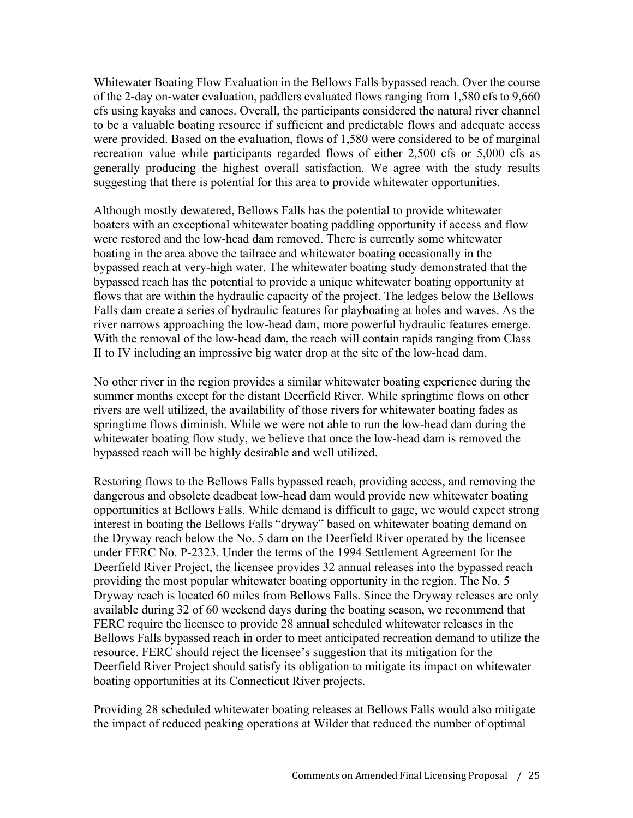Whitewater Boating Flow Evaluation in the Bellows Falls bypassed reach. Over the course of the 2-day on-water evaluation, paddlers evaluated flows ranging from 1,580 cfs to 9,660 cfs using kayaks and canoes. Overall, the participants considered the natural river channel to be a valuable boating resource if sufficient and predictable flows and adequate access were provided. Based on the evaluation, flows of 1,580 were considered to be of marginal recreation value while participants regarded flows of either 2,500 cfs or 5,000 cfs as generally producing the highest overall satisfaction. We agree with the study results suggesting that there is potential for this area to provide whitewater opportunities.

Although mostly dewatered, Bellows Falls has the potential to provide whitewater boaters with an exceptional whitewater boating paddling opportunity if access and flow were restored and the low-head dam removed. There is currently some whitewater boating in the area above the tailrace and whitewater boating occasionally in the bypassed reach at very-high water. The whitewater boating study demonstrated that the bypassed reach has the potential to provide a unique whitewater boating opportunity at flows that are within the hydraulic capacity of the project. The ledges below the Bellows Falls dam create a series of hydraulic features for playboating at holes and waves. As the river narrows approaching the low-head dam, more powerful hydraulic features emerge. With the removal of the low-head dam, the reach will contain rapids ranging from Class II to IV including an impressive big water drop at the site of the low-head dam.

No other river in the region provides a similar whitewater boating experience during the summer months except for the distant Deerfield River. While springtime flows on other rivers are well utilized, the availability of those rivers for whitewater boating fades as springtime flows diminish. While we were not able to run the low-head dam during the whitewater boating flow study, we believe that once the low-head dam is removed the bypassed reach will be highly desirable and well utilized.

Restoring flows to the Bellows Falls bypassed reach, providing access, and removing the dangerous and obsolete deadbeat low-head dam would provide new whitewater boating opportunities at Bellows Falls. While demand is difficult to gage, we would expect strong interest in boating the Bellows Falls "dryway" based on whitewater boating demand on the Dryway reach below the No. 5 dam on the Deerfield River operated by the licensee under FERC No. P-2323. Under the terms of the 1994 Settlement Agreement for the Deerfield River Project, the licensee provides 32 annual releases into the bypassed reach providing the most popular whitewater boating opportunity in the region. The No. 5 Dryway reach is located 60 miles from Bellows Falls. Since the Dryway releases are only available during 32 of 60 weekend days during the boating season, we recommend that FERC require the licensee to provide 28 annual scheduled whitewater releases in the Bellows Falls bypassed reach in order to meet anticipated recreation demand to utilize the resource. FERC should reject the licensee's suggestion that its mitigation for the Deerfield River Project should satisfy its obligation to mitigate its impact on whitewater boating opportunities at its Connecticut River projects.

Providing 28 scheduled whitewater boating releases at Bellows Falls would also mitigate the impact of reduced peaking operations at Wilder that reduced the number of optimal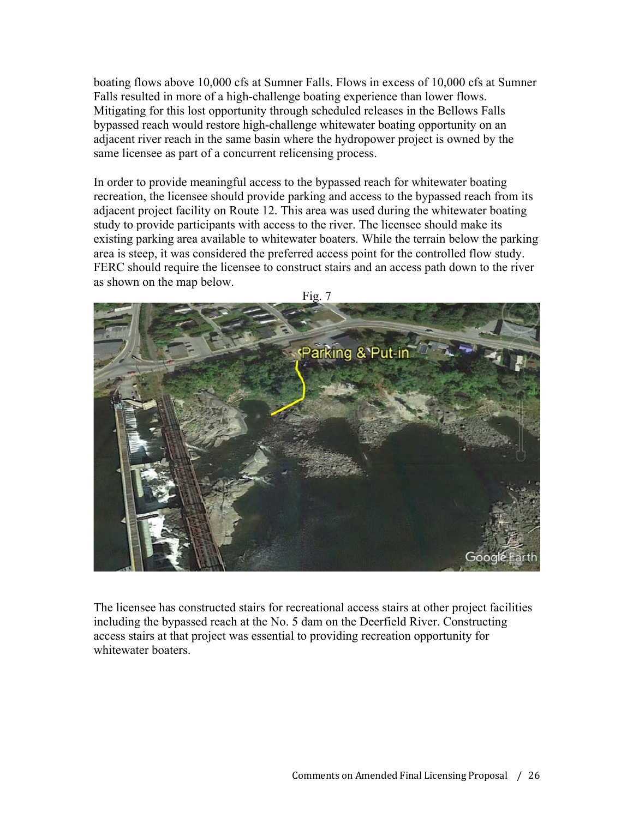boating flows above 10,000 cfs at Sumner Falls. Flows in excess of 10,000 cfs at Sumner Falls resulted in more of a high-challenge boating experience than lower flows. Mitigating for this lost opportunity through scheduled releases in the Bellows Falls bypassed reach would restore high-challenge whitewater boating opportunity on an adjacent river reach in the same basin where the hydropower project is owned by the same licensee as part of a concurrent relicensing process.

In order to provide meaningful access to the bypassed reach for whitewater boating recreation, the licensee should provide parking and access to the bypassed reach from its adjacent project facility on Route 12. This area was used during the whitewater boating study to provide participants with access to the river. The licensee should make its existing parking area available to whitewater boaters. While the terrain below the parking area is steep, it was considered the preferred access point for the controlled flow study. FERC should require the licensee to construct stairs and an access path down to the river as shown on the map below.



The licensee has constructed stairs for recreational access stairs at other project facilities including the bypassed reach at the No. 5 dam on the Deerfield River. Constructing access stairs at that project was essential to providing recreation opportunity for whitewater boaters.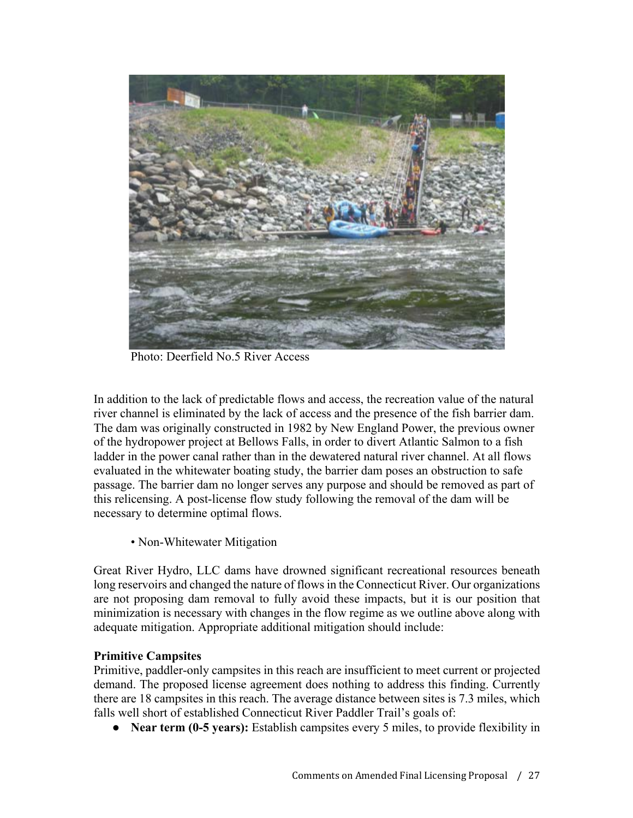

Photo: Deerfield No.5 River Access

In addition to the lack of predictable flows and access, the recreation value of the natural river channel is eliminated by the lack of access and the presence of the fish barrier dam. The dam was originally constructed in 1982 by New England Power, the previous owner of the hydropower project at Bellows Falls, in order to divert Atlantic Salmon to a fish ladder in the power canal rather than in the dewatered natural river channel. At all flows evaluated in the whitewater boating study, the barrier dam poses an obstruction to safe passage. The barrier dam no longer serves any purpose and should be removed as part of this relicensing. A post-license flow study following the removal of the dam will be necessary to determine optimal flows.

• Non-Whitewater Mitigation

Great River Hydro, LLC dams have drowned significant recreational resources beneath long reservoirs and changed the nature of flows in the Connecticut River. Our organizations are not proposing dam removal to fully avoid these impacts, but it is our position that minimization is necessary with changes in the flow regime as we outline above along with adequate mitigation. Appropriate additional mitigation should include:

## **Primitive Campsites**

Primitive, paddler-only campsites in this reach are insufficient to meet current or projected demand. The proposed license agreement does nothing to address this finding. Currently there are 18 campsites in this reach. The average distance between sites is 7.3 miles, which falls well short of established Connecticut River Paddler Trail's goals of:

• **Near term (0-5 years):** Establish campsites every 5 miles, to provide flexibility in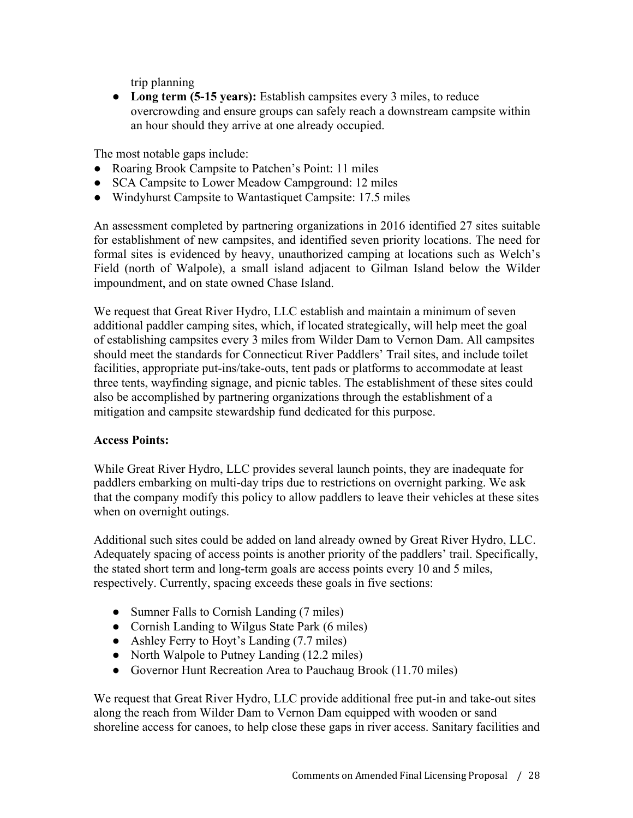trip planning

● **Long term (5-15 years):** Establish campsites every 3 miles, to reduce overcrowding and ensure groups can safely reach a downstream campsite within an hour should they arrive at one already occupied.

The most notable gaps include:

- Roaring Brook Campsite to Patchen's Point: 11 miles
- SCA Campsite to Lower Meadow Campground: 12 miles
- Windyhurst Campsite to Wantastiquet Campsite: 17.5 miles

An assessment completed by partnering organizations in 2016 identified 27 sites suitable for establishment of new campsites, and identified seven priority locations. The need for formal sites is evidenced by heavy, unauthorized camping at locations such as Welch's Field (north of Walpole), a small island adjacent to Gilman Island below the Wilder impoundment, and on state owned Chase Island.

We request that Great River Hydro, LLC establish and maintain a minimum of seven additional paddler camping sites, which, if located strategically, will help meet the goal of establishing campsites every 3 miles from Wilder Dam to Vernon Dam. All campsites should meet the standards for Connecticut River Paddlers' Trail sites, and include toilet facilities, appropriate put-ins/take-outs, tent pads or platforms to accommodate at least three tents, wayfinding signage, and picnic tables. The establishment of these sites could also be accomplished by partnering organizations through the establishment of a mitigation and campsite stewardship fund dedicated for this purpose.

## **Access Points:**

While Great River Hydro, LLC provides several launch points, they are inadequate for paddlers embarking on multi-day trips due to restrictions on overnight parking. We ask that the company modify this policy to allow paddlers to leave their vehicles at these sites when on overnight outings.

Additional such sites could be added on land already owned by Great River Hydro, LLC. Adequately spacing of access points is another priority of the paddlers' trail. Specifically, the stated short term and long-term goals are access points every 10 and 5 miles, respectively. Currently, spacing exceeds these goals in five sections:

- Sumner Falls to Cornish Landing (7 miles)
- Cornish Landing to Wilgus State Park (6 miles)
- Ashley Ferry to Hoyt's Landing (7.7 miles)
- North Walpole to Putney Landing (12.2 miles)
- Governor Hunt Recreation Area to Pauchaug Brook (11.70 miles)

We request that Great River Hydro, LLC provide additional free put-in and take-out sites along the reach from Wilder Dam to Vernon Dam equipped with wooden or sand shoreline access for canoes, to help close these gaps in river access. Sanitary facilities and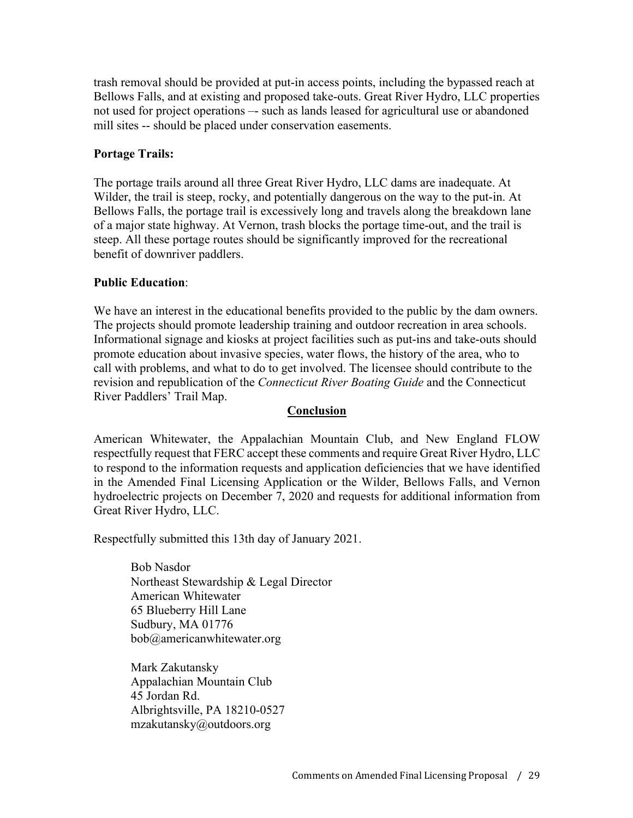trash removal should be provided at put-in access points, including the bypassed reach at Bellows Falls, and at existing and proposed take-outs. Great River Hydro, LLC properties not used for project operations –- such as lands leased for agricultural use or abandoned mill sites -- should be placed under conservation easements.

## **Portage Trails:**

The portage trails around all three Great River Hydro, LLC dams are inadequate. At Wilder, the trail is steep, rocky, and potentially dangerous on the way to the put-in. At Bellows Falls, the portage trail is excessively long and travels along the breakdown lane of a major state highway. At Vernon, trash blocks the portage time-out, and the trail is steep. All these portage routes should be significantly improved for the recreational benefit of downriver paddlers.

# **Public Education**:

We have an interest in the educational benefits provided to the public by the dam owners. The projects should promote leadership training and outdoor recreation in area schools. Informational signage and kiosks at project facilities such as put-ins and take-outs should promote education about invasive species, water flows, the history of the area, who to call with problems, and what to do to get involved. The licensee should contribute to the revision and republication of the *Connecticut River Boating Guide* and the Connecticut River Paddlers' Trail Map.

### **Conclusion**

American Whitewater, the Appalachian Mountain Club, and New England FLOW respectfully request that FERC accept these comments and require Great River Hydro, LLC to respond to the information requests and application deficiencies that we have identified in the Amended Final Licensing Application or the Wilder, Bellows Falls, and Vernon hydroelectric projects on December 7, 2020 and requests for additional information from Great River Hydro, LLC.

Respectfully submitted this 13th day of January 2021.

Bob Nasdor Northeast Stewardship & Legal Director American Whitewater 65 Blueberry Hill Lane Sudbury, MA 01776 bob@americanwhitewater.org

Mark Zakutansky Appalachian Mountain Club 45 Jordan Rd. Albrightsville, PA 18210-0527 mzakutansky@outdoors.org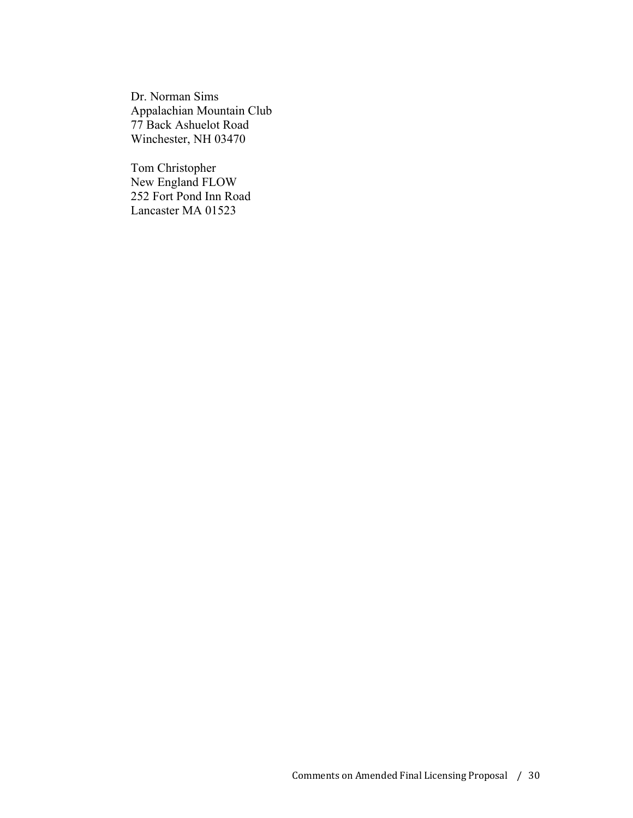Dr. Norman Sims Appalachian Mountain Club 77 Back Ashuelot Road Winchester, NH 03470

Tom Christopher New England FLOW 252 Fort Pond Inn Road Lancaster MA 01523